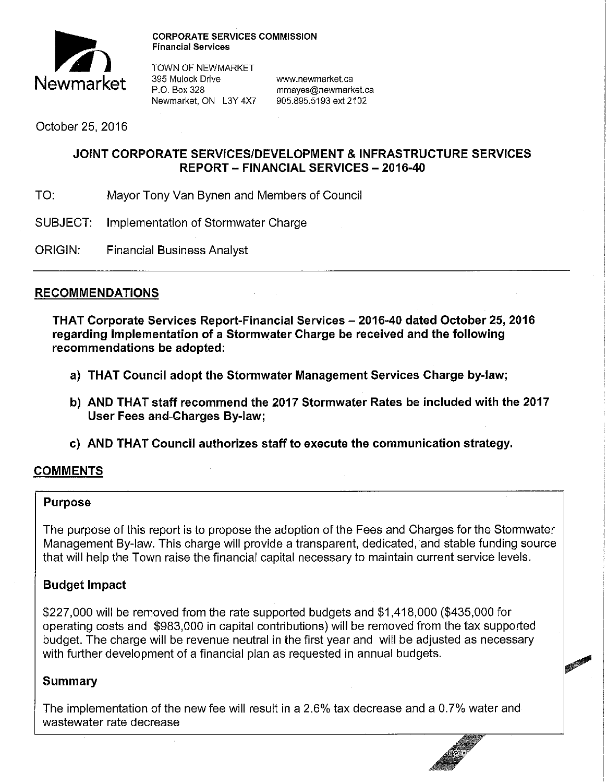

**CORPORATE SERVICES COMMISSION Financial Services** 

**100 TOWN OF NEWMARKET**<br>395 Mulock Drive **Newmarket 395 Mulock Drive www.newmarket.ca**<br>
P.O. Box 328 mmayes@newmarket.ca<br>
Newmarket. ON L3Y 4X7 905.895.5193 ext 2102 Newmarket, ON L3Y 4X7

October 25, 2016

### **JOINT CORPORATE SERVICES/DEVELOPMENT & INFRASTRUCTURE SERVICES REPORT- FINANCIAL SERVICES- 2016-40**

- TO: Mayor Tony Van Bynen and Members of Council
- SUBJECT: Implementation of Stormwater Charge
- ORIGIN: Financial Business Analyst

### **RECOMMENDATIONS**

**THAT Corporate Services Report-Financial Services - 2016-40 dated October 25, 2016 regarding Implementation of a Stormwater Charge be received and the following recommendations be adopted:** 

- **a) THAT Council adopt the Stormwater Management Services Charge by-law;**
- **b) AND THAT staff recommend the 2017 Stormwater Rates be included with the 2017 User Fees and-Charges By-law;**
- **c) AND THAT Council authorizes staff to execute the communication strategy.**

### **COMMENTS**

#### **Purpose**

The purpose of this report is to propose the adoption of the Fees and Charges for the Stormwater Management By-law. This charge will provide a transparent, dedicated, and stable funding source that will help the Town raise the financial capital necessary to maintain current service levels.

### **Budget Impact**

\$227,000 will be removed from the rate supported budgets and \$1,418,000 (\$435,000 for operating costs and \$983,000 in capital contributions) will be removed from the tax supported budget. The charge will be revenue neutral in the first year and will be adjusted as necessary with further development of a financial plan as requested in annual budgets.

**PERITE** 

### **Summary**

The implementation of the new fee will result in a 2.6% tax decrease and a 0. 7% water and wastewater rate decrease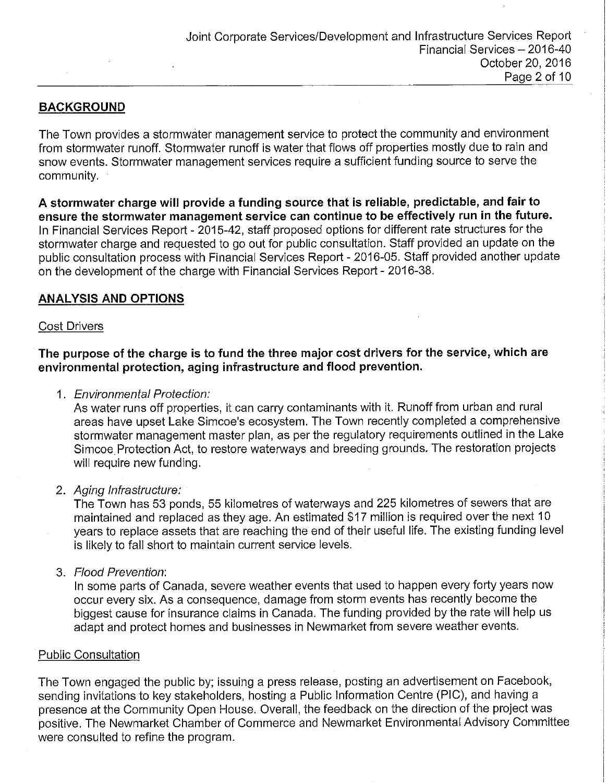### **BACKGROUND**

The Town provides a stormwater management service to protect the community and environment from stormwater runoff. Stormwater runoff is water that flows off properties mostly due to rain and snow events. Stormwater management services require a sufficient funding source to serve the community.

**A stormwater charge will provide a funding source that is reliable, predictable, and fair to ensure the stormwater management service can continue to be effectively run in the future.**  In Financial Services Report - 2015-42, staff proposed options for different rate structures for the stormwater charge and requested to go out for public consultation. Staff provided an update on the public consultation process with Financial Services Report - 2016-05. Staff provided another update on the development of the charge with Financial Services Report - 2016-38.

### **ANALYSIS AND OPTIONS**

#### Cost Drivers

**The purpose of the charge is to fund the three major cost drivers for the service, which are environmental protection, aging infrastructure and flood prevention.** 

1. Environmental Protection:

As water runs off properties, it can carry contaminants with it. Runoff from urban and rural areas have upset Lake Simcoe's ecosystem. The Town recently completed a comprehensive stormwater management master plan, as per the regulatory requirements outlined in the Lake Simcoe. Protection Act, to restore waterways and breeding grounds. The restoration projects will require new funding.

#### 2. Aging Infrastructure:

The Town has 53 ponds, 55 kilometres of waterways and 225 kilometres of sewers that are maintained and replaced as they age. An estimated \$17 million is required over the next 10 years to replace assets that are reaching the end of their useful life. The existing funding level is likely to fall short to maintain current service levels.

3. Flood Prevention:

In some parts of Canada, severe weather events that used to happen every forty years now occur every six. As a consequence, damage from storm events has recently become the biggest cause for insurance claims in Canada. The funding provided by the rate will help us adapt and protect homes and businesses in Newmarket from severe weather events.

#### Public Consultation

The Town engaged the public by; issuing a press release, posting an advertisement on Facebook, sending invitations to key stakeholders, hosting a Public Information Centre (PIC), and having a presence at the Community Open House. Overall, the feedback on the direction of the project was positive. The Newmarket Chamber of Commerce and Newmarket Environmental Advisory Committee were consulted to refine the program.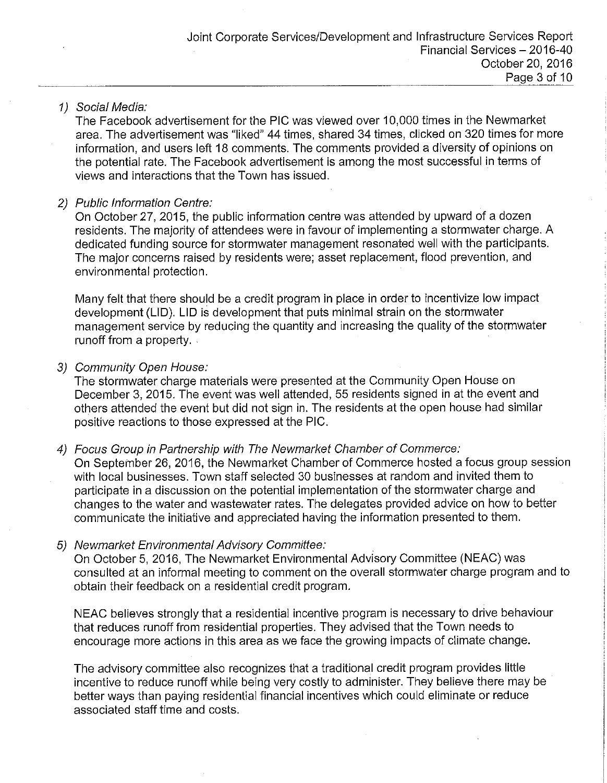#### 1) Social Media:

The Facebook advertisement for the PIG was viewed over 10,000 times in the Newmarket area. The advertisement was "liked" 44 times, shared 34 times, clicked on 320 times for more information, and users left 18 comments. The comments provided a diversity of opinions on the potential rate. The Facebook advertisement is among the most successful in terms of views and interactions that the Town has issued.

#### 2) Public Information Centre:

On October 27, 2015, the public information centre was attended by upward of a dozen residents. The majority of attendees were in favour of implementing a stormwater charge. A dedicated funding source for stormwater management resonated well with the participants. The major concerns raised by residents were; asset replacement, flood prevention, and environmental protection.

Many felt that there should be a credit program in place in order to incentivize low impact development (LID). LID is development that puts minimal strain on the stormwater management service by reducing the quantity and increasing the quality of the stormwater runoff from a property.

#### 3) Community Open House:

The stormwater charge materials were presented at the Community Open House on December 3, 2015. The event was well attended, 55 residents signed in at the event and others attended the event but did not sign in. The residents at the open house had similar positive reactions to those expressed at the PIG.

4) Focus Group in Partnership with The Newmarket Chamber of Commerce:

On September 26, 2016, the Newmarket Chamber of Commerce hosted a focus group session with local businesses. Town staff selected 30 businesses at random and invited them to participate in a discussion on the potential implementation of the stormwater charge and changes to the water and wastewater rates. The delegates provided advice on how to better communicate the initiative and appreciated having the information presented to them.

#### 5) Newmarket Environmental Advisory Committee:

On October 5, 2016, The Newmarket Environmental Advisory Committee (NEAC) was consulted at an informal meeting to comment on the overall stormwater charge program and to obtain their feedback on a residential credit program.

NEAC believes strongly that a residential incentive program is necessary to drive behaviour that reduces runoff from residential properties. They advised that the Town needs to encourage more actions in this area as we face the growing impacts of climate change.

The advisory committee also recognizes that a traditional credit program provides little incentive to reduce runoff while being very costly to administer. They believe there may be better ways than paying residential financial incentives which could eliminate or reduce associated staff time and costs.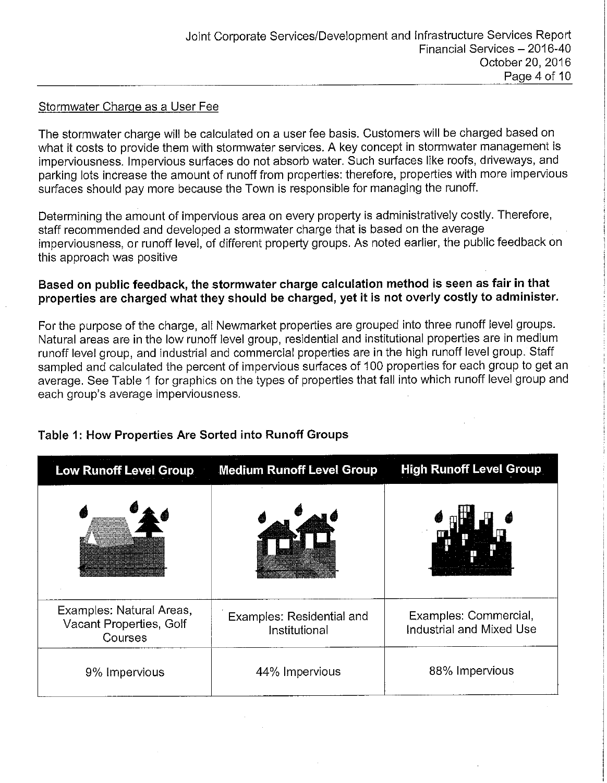### Stormwater Charge as a User Fee

The stormwater charge will be calculated on a user fee basis. Customers will be charged based on what it costs to provide them with stormwater services. A key concept in stormwater management is imperviousness. Impervious surfaces do not absorb water. Such surfaces like roofs, driveways, and parking lots increase the amount of runoff from properties: therefore, properties with more impervious surfaces should pay more because the Town is responsible for managing the runoff.

Determining the amount of impervious area on every property is administratively costly. Therefore, staff recommended and developed a stormwater charge that is based on the average imperviousness, or runoff level, of different property groups. As noted earlier, the public feedback on this approach was positive

### **Based on public feedback, the stormwater charge calculation method is seen as fair in that properties are charged what they should be charged, yet it is not overly costly to administer.**

For the purpose of the charge, all Newmarket properties are grouped into three runoff level groups. Natural areas are in the low runoff level group, residential and institutional properties are in medium runoff level group, and industrial and commercial properties are in the high runoff level group. Staff sampled and calculated the percent of impervious surfaces of 100 properties for each group to get an average. See Table 1 for graphics on the types of properties that fall into which runoff level group and each group's average imperviousness.

| <b>Low Runoff Level Group</b>                                  | <b>Medium Runoff Level Group</b>           | <b>High Runoff Level Group</b>                    |
|----------------------------------------------------------------|--------------------------------------------|---------------------------------------------------|
|                                                                |                                            |                                                   |
| Examples: Natural Areas,<br>Vacant Properties, Golf<br>Courses | Examples: Residential and<br>Institutional | Examples: Commercial,<br>Industrial and Mixed Use |
| 9% Impervious                                                  | 44% Impervious                             | 88% Impervious                                    |

## **Table 1: How Properties Are Sorted into Runoff Groups**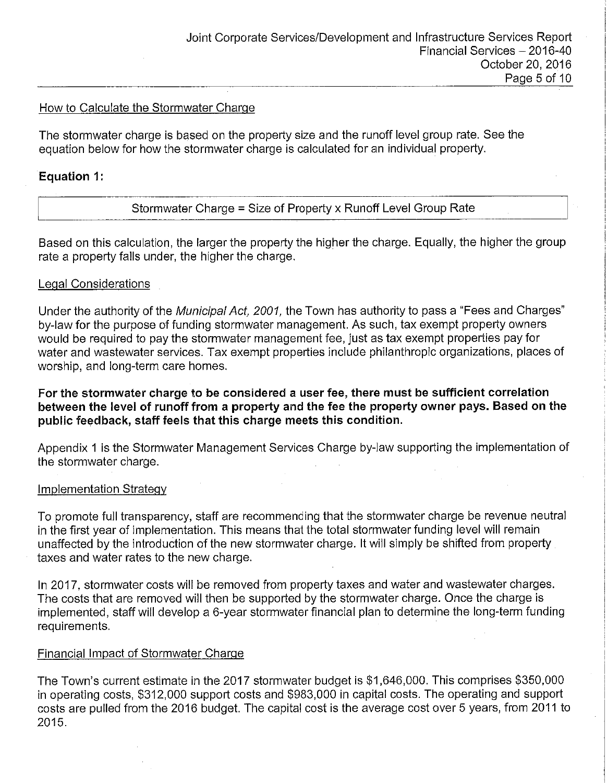#### How to Calculate the Stormwater Charge

The stormwater charge is based on the property size and the runoff level group rate. See the equation below for how the stormwater charge is calculated for an individual property.

### **Equation 1:**

Stormwater Charge = Size of Property x Runoff Level Group Rate

Based on this calculation, the larger the property the higher the charge. Equally, the higher the group rate a property falls under, the higher the charge.

#### Legal Considerations

Under the authority of the Municipal Act, 2001, the Town has authority to pass a "Fees and Charges" by-law for the purpose of funding stormwater management. As such, tax exempt property owners would be required to pay the stormwater management fee, just as tax exempt properties pay for water and wastewater services. Tax exempt properties include philanthropic organizations, places of worship, and long-term care homes.

**For the stormwater charge to be considered a user fee, there must be sufficient correlation between the level of runoff from a property and the fee the property owner pays. Based on the public feedback, staff feels that this charge meets this condition.** 

Appendix 1 is the Stormwater Management Services Charge by-law supporting the implementation of the stormwater charge.

#### Implementation Strategy

To promote full transparency, staff are recommending that the stormwater charge be revenue neutral in the first year of implementation. This means that the total stormwater funding level will remain unaffected by the introduction of the new stormwater charge. It will simply be shifted from property taxes and water rates to the new charge.

In 2017, stormwater costs will be removed from property taxes and water and wastewater charges. The costs that are removed will then be supported by the stormwater charge. Once the charge is implemented, staff will develop a 6-year stormwater financial plan to determine the long-term funding requirements.

#### Financial Impact of Stormwater Charge

The Town's current estimate in the 2017 stormwater budget is \$1,646,000. This comprises \$350,000 in operating costs, \$312,000 support costs and \$983,000 in capital costs. The operating and support costs are pulled from the 2016 budget. The capital cost is the average cost over 5 years, from 2011 to 2015.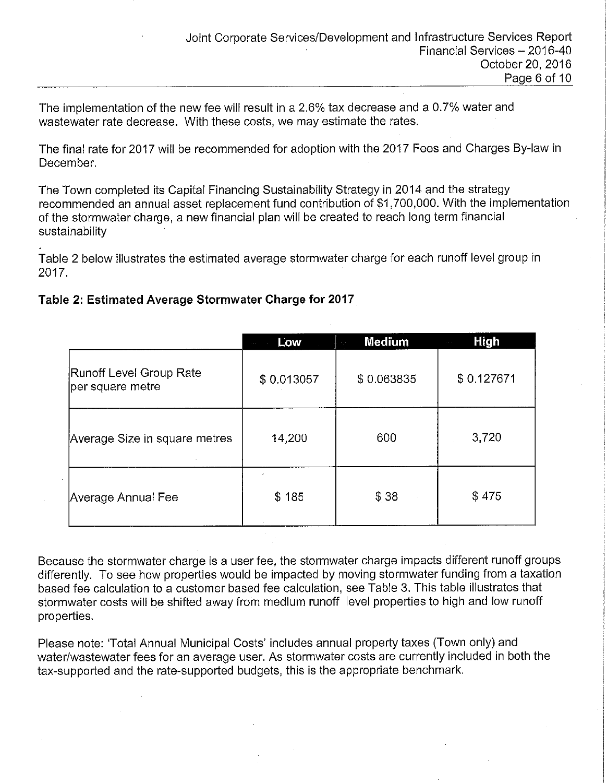The implementation of the new fee will result in a 2.6% tax decrease and a 0.7% water and wastewater rate decrease. With these costs, we may estimate the rates.

The final rate for 2017 will be recommended for adoption with the 2017 Fees and Charges By-law in December.

The Town completed its Capital Financing Sustainability Strategy in 2014 and the strategy recommended an annual asset replacement fund contribution of \$1,700,000. With the implementation of the stormwater charge, a new financial plan will be created to reach long term financial sustainability

Table 2 below illustrates the estimated average stormwater charge for each runoff level group in 2017.

### **Table 2: Estimated Average Stormwater Charge for 2017**

|                                             | Low<br>$\sim$ $\sim$ $\sim$ | <b>Medium</b><br>$\sim 10$ | <b>High</b><br>$\alpha$ , $\alpha$ , $\alpha$ |
|---------------------------------------------|-----------------------------|----------------------------|-----------------------------------------------|
| Runoff Level Group Rate<br>per square metre | \$0.013057                  | \$0.063835                 | \$0.127671                                    |
| Average Size in square metres               | 14,200                      | 600                        | 3,720                                         |
| Average Annual Fee                          | \$185                       | \$38                       | \$475                                         |

Because the stormwater charge is a user fee, the stormwater charge impacts different runoff groups differently. To see how properties would be impacted by moving stormwater funding from a taxation based fee calculation to a customer based fee calculation, see Table 3. This table illustrates that stormwater costs will be shifted away from medium runoff level properties to high and low runoff properties.

Please note: 'Total Annual Municipal Costs' includes annual property taxes (Town only) and water/wastewater fees for an average user. As stormwater costs are currently included in both the tax-supported and the rate-supported budgets, this is the appropriate benchmark.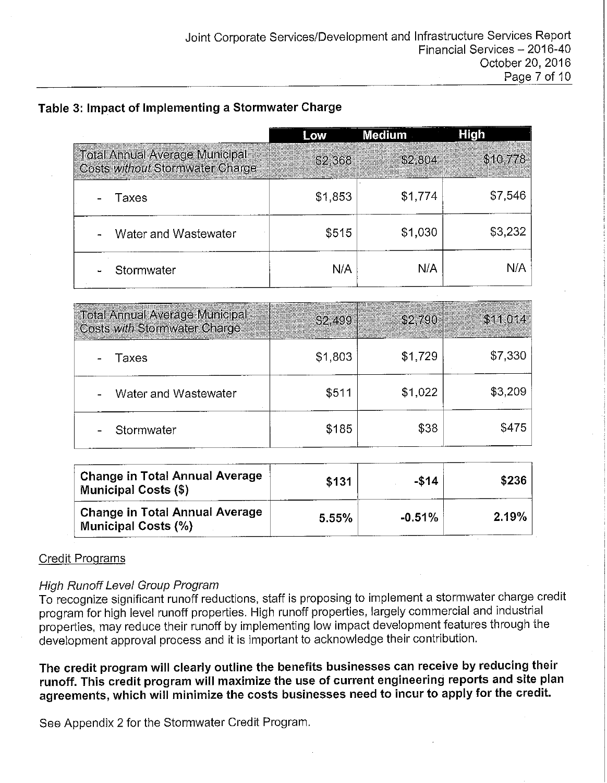### **Table 3: Impact of Implementing a Stormwater Charge**

|                                                                          |         | Medium  | High     |
|--------------------------------------------------------------------------|---------|---------|----------|
| <b>Total Annual Average Municipal</b><br>Costs without Stormwater Charge | \$2,368 | \$2,804 | \$10,778 |
| Taxes                                                                    | \$1,853 | \$1,774 | \$7,546  |
| Water and Wastewater                                                     | \$515   | \$1,030 | \$3,232  |
| Stormwater                                                               | N/A     | N/A     | N/A      |

| <b>Total Annual Average Municipal</b><br>Costs with Stormwater Charge | <b>\$2,499</b> | \$2,790 | \$11,014 |
|-----------------------------------------------------------------------|----------------|---------|----------|
| Taxes                                                                 | \$1,803        | \$1,729 | \$7,330  |
| Water and Wastewater                                                  | \$511          | \$1,022 | \$3,209  |
| Stormwater                                                            | \$185          | \$38    | \$475    |

| <b>Change in Total Annual Average</b><br><b>Municipal Costs (\$)</b> | \$131 | $-$14$   | \$236 |
|----------------------------------------------------------------------|-------|----------|-------|
| <b>Change in Total Annual Average</b><br><b>Municipal Costs (%)</b>  | 5.55% | $-0.51%$ | 2.19% |

### Credit Programs

### High Runoff Level Group Program

To recognize significant runoff reductions, staff is proposing to implement a stormwater charge credit program for high level runoff properties. High runoff properties, largely commercial and industrial properties, may reduce their runoff by implementing low impact development features through the development approval process and it is important to acknowledge their contribution.

**The credit program will clearly outline the benefits businesses can receive by reducing their runoff. This credit program will maximize the use of current engineering reports and site plan agreements, which will minimize the costs businesses need to incur to apply for the credit.** 

See Appendix 2 for the Stormwater Credit Program.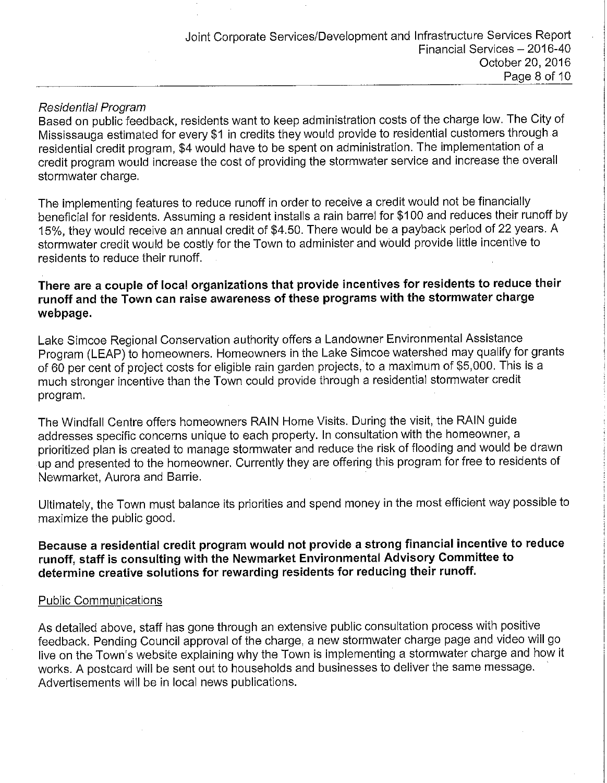### Residential Program

Based on public feedback, residents want to keep administration costs of the charge low. The City of Mississauga estimated for every \$1 in credits they would provide to residential customers through a residential credit program, \$4 would have to be spent on administration. The implementation of a credit program would increase the cost of providing the stormwater service and increase the overall stormwater charge.

The implementing features to reduce runoff in order to receive a credit would not be financially beneficial for residents. Assuming a resident installs a rain barrel for \$100 and reduces their runoff by 15%, they would receive an annual credit of \$4.50. There would be a payback period of 22 years. A stormwater credit would be costly for the Town to administer and would provide little incentive to residents to reduce their runoff.

### **There are a couple of local organizations that provide incentives for residents to reduce their runoff and the Town can raise awareness of these programs with the stormwater charge webpage.**

Lake Simcoe Regional Conservation authority offers a Landowner Environmental Assistance Program (LEAP) to homeowners. Homeowners in the Lake Simcoe watershed may qualify for grants of 60 per cent of project costs for eligible rain garden projects, to a maximum of \$5,000. This is a much stronger incentive than the Town could provide through a residential stormwater credit program.

The Windfall Centre offers homeowners RAIN Home Visits. During the visit, the RAIN guide addresses specific concerns unique to each property. In consultation with the homeowner, a prioritized plan is created to manage stormwater and reduce the risk of flooding and would be drawn up and presented to the homeowner. Currently they are offering this program for free to residents of Newmarket, Aurora and Barrie.

Ultimately, the Town must balance its priorities and spend money in the most efficient way possible to maximize the public good.

### **Because a residential credit program would not provide a strong financial incentive to reduce runoff, staff is consulting with the Newmarket Environmental Advisory Committee to determine creative solutions for rewarding residents for reducing their runoff.**

### Public Communications

As detailed above, staff has gone through an extensive public consultation process with positive feedback. Pending Council approval of the charge, a new stormwater charge page and video will go live on the Town's website explaining why the Town is implementing a stormwater charge and how it works. A postcard will be sent out to households and businesses to deliver the same message. Advertisements will be in local news publications.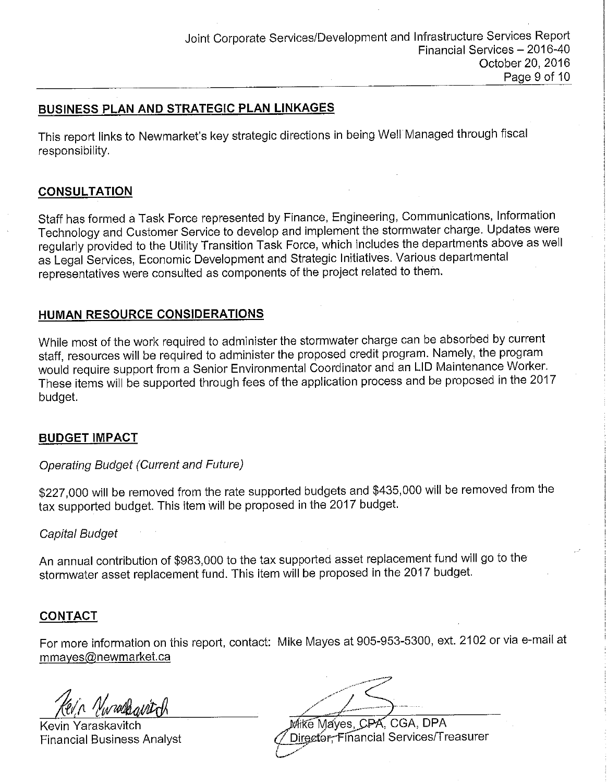### **BUSINESS PLAN AND STRATEGIC PLAN LINKAGES**

This report links to Newmarket's key strategic directions in being Well Managed through fiscal responsibility.

### **CONSULTATION**

Staff has formed a Task Force represented by Finance, Engineering, Communications, Information Technology and Customer Service to develop and implement the stormwater charge. Updates were regularly provided to the Utility Transition Task Force, which includes the departments above as well as Legal Services, Economic Development and Strategic Initiatives. Various departmental representatives were consulted as components of the project related to them.

### **HUMAN RESOURCE CONSIDERATIONS**

While most of the work required to administer the stormwater charge can be absorbed by current staff, resources will be required to administer the proposed credit program. Namely, the program would require support from a Senior Environmental Coordinator and an LID Maintenance Worker. These items will be supported through fees of the application process and be proposed in the 2017 budget.

### **BUDGET IMPACT**

### Operating Budget (Current and Future)

\$227,000 will be removed from the rate supported budgets and \$435,000 will be removed from the tax supported budget. This item will be proposed in the 2017 budget.

### Capital Budget

An annual contribution of \$983,000 to the tax supported asset replacement fund will go to the stormwater asset replacement fund. This item will be proposed in the 2017 budget.

### **CONTACT**

For more information on this report, contact: Mike Mayes at 905-953-5300, ext. 2102 or via e-mail at mmayes@newmarket.ca

Kevin Yaraskavitch Mike Mayes, CPA, CGA, DPA

Financial Business Analyst (2011) 2012 2013 Contractor: Financial Services/Treasurer *(\_\_.,,-/*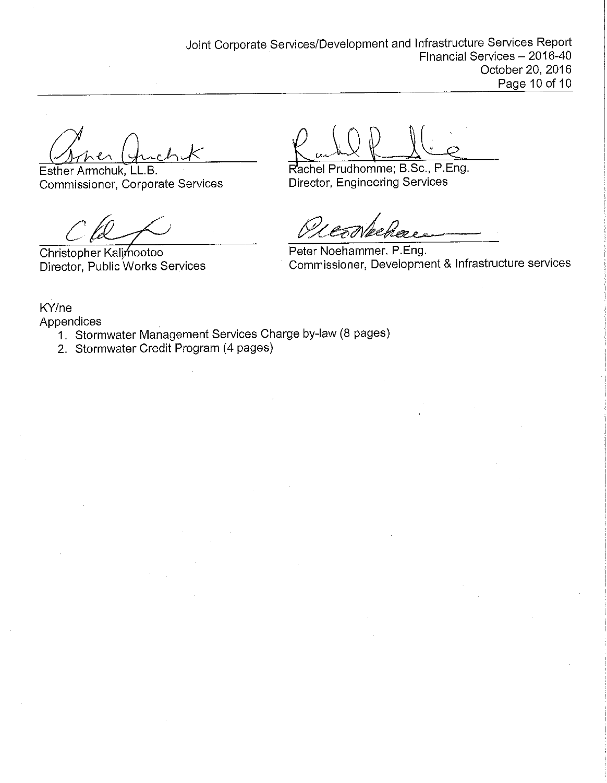Esther Armchuk, **LL.B.**  Commissioner, Corporate Services Director, Engineering Services

 $CA$ 

Christopher Kalimootoo Director, Public Works Services

Rachel Prudhomme; B.Sc., P.Eng.

Peter Noehammer. P.Eng. Commissioner, Development & Infrastructure services

KY/ne Appendices

- 1. Stormwater Management Services Charge by-law (8 pages)
- 2. Stormwater Credit Program (4 pages)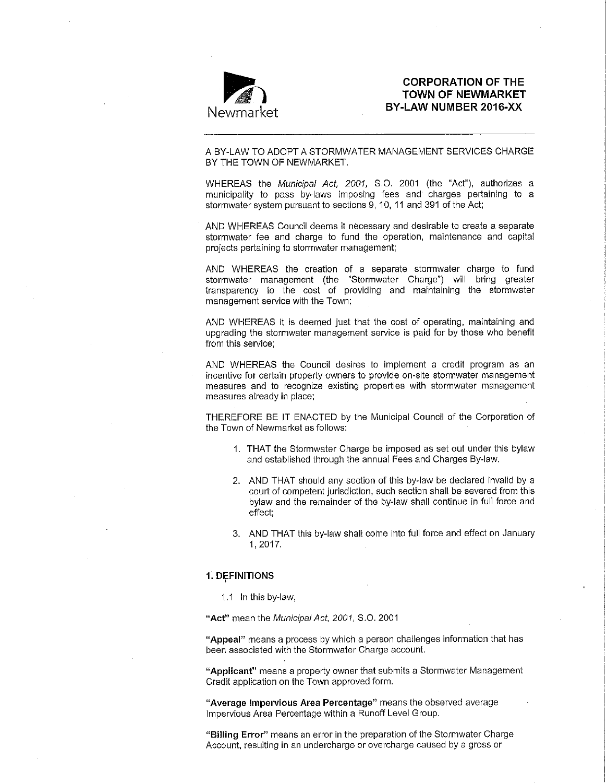

# **CORPORATION OF THE**<br>Newmarket ") BY-LAW NUMBER 2016-XX **TOWN OF NEWMARKET BY-LAW NUMBER 2016-XX**

A BY-LAW TO ADOPT A STORMWATER MANAGEMENT SERVICES CHARGE BY THE TOWN OF NEWMARKET.

WHEREAS the Municipal Act, 2001, 8.0. 2001 (the "Act"), authorizes a municipality to pass by-laws imposing fees and charges pertaining to a stormwater system pursuant to sections 9, 10, 11 and 391 of the Act;

AND WHEREAS Council deems it necessary and desirable to create a separate stormwater fee and charge to fund the operation, maintenance and capital projects pertaining to stormwater management;

AND WHEREAS the creation of a separate stormwater charge to fund stormwater management (the "Stormwater Charge") will bring greater transparency to the cost of providing and maintaining the stormwater management service with the Town;

AND WHEREAS it is deemed just that the cost of operating, maintaining and upgrading the stormwater management service is paid for by those who benefit from this service;

AND WHEREAS the Council desires to implement a credit program as an incentive for certain property owners to provide on-site stormwater management measures and to recognize existing properties with stormwater management measures already in place;

THEREFORE BE IT ENACTED by the Municipal Council of the Corporation of the Town of Newmarket as follows:

- 1. THAT the Stormwater Charge be imposed as set out under this bylaw and established through the annual Fees and Charges By-law.
- 2. AND THAT should any section of this by-law be declared invalid by a court of competent jurisdiction, such section shall be severed from this bylaw and the remainder of the by-law shall continue in full force and effect;
- 3. AND THAT this by-law shall come into full force and effect on January 1,2017.

#### **1. DEFINITIONS**

1.1 In this by-law,

**"Act"** mean the Municipal Act, 2001, S.0. 2001

**"Appeal"** means a process by which a person challenges information that has been associated with the Stormwater Charge account.

**"Applicant"** means a property owner that submits a Stormwater Management Credit application on the Town approved form.

**' 1 Average Impervious Area Percentage" means the observed average**  Impervious Area Percentage within a Runoff Level Group.

**"Billing Error" means an error in the preparation of the Stormwater Charge Account, resulting in an undercharge or overcharge caused by a gross or**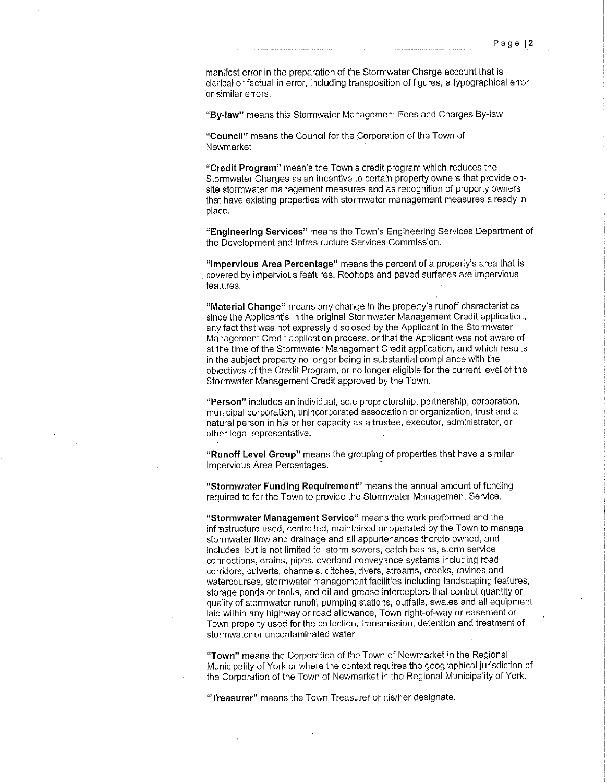manifest error in the preparation of the Stormwater Charge account that is clerical or factual in error, including transposition of figures, a typographical error **or similar errors.** 

**"By-law"** means this Stormwater Management Fees and Charges By-law

**"Council"** means the Council for the Corporation of the Town of Newmarket

**"Credit Program"** mean's the Town's credit program which reduces the Stormwater Charges as an incentive to certain property owners that provide onsite stormwater management measures and as recognition of property owners that have existing properties with stormwater management measures already in place.

**"Engineering Services"** means the Town's Engineering Services Department of the Development and Infrastructure Services Commission.

**"Impervious Area Percentage"** means the percent of a property's area that is covered by impervious features. Rooftops and paved surfaces are impervious features.

**"Material Change"** means any change in the property's runoff characteristics since the Applicant's in the original Stormwater Management Credit application, any fact that was not expressly disclosed by the Applicant in the Stormwater Management Credit application process, or that the Applicant was not aware of at the time of the Stormwater Management Credit application, and which results in the subject property no longer being in substantial compliance with the objectives of the Credit Program, or no longer eligible for the current level of the Stormwater Management Credit approved by the Town.

**"Person"** includes an individual, sole proprietorship, partnership, corporation, **municipal corporation, unincorporated association or organization, trust and a natural person in his or her capacity** as a **trustee, executor, administrator, or**  other legal representative.

**"Runoff Level Group"** means the grouping of properties that have a similar Impervious Area Percentages.

**"Stormwater Funding Requirement" means the annual amount of funding**  required to for the Town to provide the Stormwater Management Service.

**"Stormwater Management Service" means the work performed and the**  infrastructure used, controlled, maintained or operated by the Town to manage stormwater flow and drainage and all appurtenances thereto owned, and includes, but is not limited to, storm sewers, catch basins, storm service connections, drains, pipes, overland conveyance systems including road **corridors, culverts, channels, ditches, rivers, streams, creeks, ravines and**  watercourses, stormwater management facilities including landscaping features, storage ponds or tanks, and oil and grease interceptors that control quantity or quality of stormwater runoff, pumping stations, outfalls, swales and all equipment laid within any highway or road allowance, Town right-of-way or easement or Town property used for the collection, transmission, detention and treatment of **stormwater or uncontaminated water.** 

**"Town"** means the Corporation of the Town of Newmarket in the Regional Municipality of York or where the context requires the geographical jurisdiction of the Corporation of the Town of Newmarket in the Regional Municipality of York.

**"Treasurer" means the Town Treasurer or his/her designate.**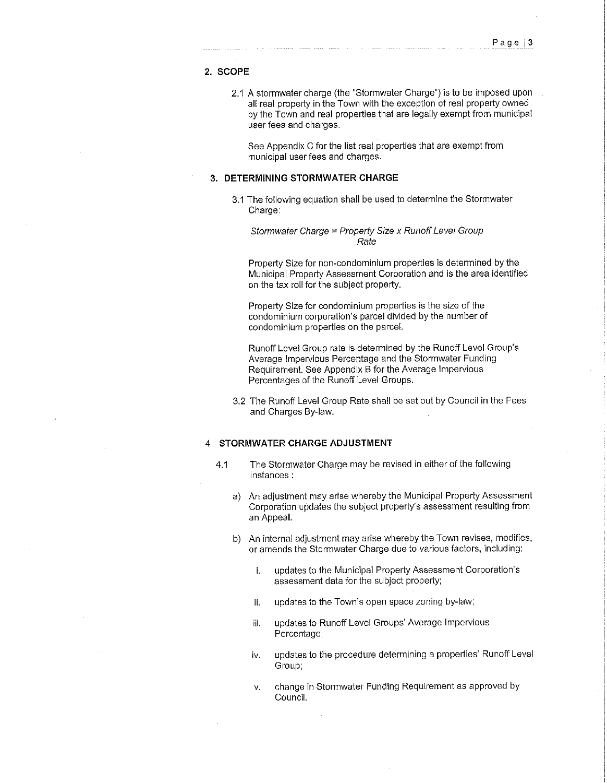#### **2. SCOPE**

2.1 A stormwater charge (the "Stormwater Charge") is to be imposed upon all real property in the Town with the exception of real property owned by the Town and real properties that are legally exempt from municipal user fees and charges.

See Appendix C for the list real properties that are exempt from municipal user fees and charges.

#### **3. DETERMINING STORMWATER CHARGE**

3.1 The following equation shall be used to determine the Stormwater Charge:

Stormwater Charge = Property Size x Runoff Level Group Rate

Property Size for non-condominium properties is determined by the Municipal Property Assessment Corporation and is the area identified on the tax roll for the subject property.

Property Size for condominium properties is the size of the condominium corporation's parcel divided by the number of condominium properties on the parcel.

Runoff Level Group rate is determined by the Runoff Level Group's Average Impervious Percentage and the Stormwater Funding Requirement. See Appendix B for the Average Impervious Percentages of the Runoff Level Groups.

3.2 The Runoff Level Group Rate shall be set out by Council in the Fees and Charges By-law.

#### 4 **STORMWATER CHARGE ADJUSTMENT**

- 4.1 The Stormwater Charge may be revised in either of the following **instances** :
	- a) An adjustment may arise whereby the Municipal Property Assessment Corporation updates the subject property's assessment resulting from an Appeal.
	- b) An internal adjustment may arise whereby the Town revises, modifies, or amends the Stormwater Charge due to various factors, including:
		- i. updates to the Municipal Property Assessment Corporation's assessment data for the subject property;
		- ii. updates to the Town's open space zoning by-law;
		- iii. updates to Runoff Level Groups' Average Impervious Percentage;
		- iv. updates to the procedure determining a properties' Runoff Level Group;
		- v. change in Stormwater Funding Requirement as approved by Council.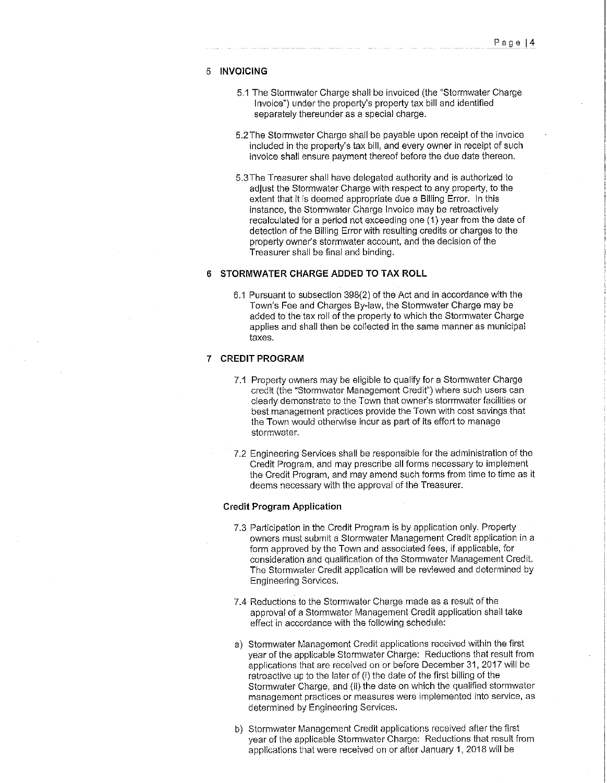#### 5 **INVOICING**

- 5.1 The Stormwater Charge shall be invoiced (the "Stormwater Charge" Invoice") under the property's property tax bill and identified separately thereunder as a special charge.
- 5.2The Stormwater Charge shall be payable upon receipt of the invoice included in the property's tax bill, and every owner in receipt of such invoice shall ensure payment thereof before the due date thereon.
- 5.3The Treasurer shall have delegated authority and is authorized to adjust the Stormwater Charge with respect to any property, to the extent that it is deemed appropriate due a Billing Error. In this instance, the Stormwater Charge Invoice may be retroactively recalculated for a period not exceeding one (1) year from the date of detection of the Billing Error with resulting credits or charges to the property owner's stormwater account, and the decision of the Treasurer shall be final and binding.

#### **6 STORMWATER CHARGE ADDED TO TAX ROLL**

6.1 Pursuant to subsection 398(2) of the Act and in accordance with the Town's Fee and Charges By-law, the Stormwater Charge may be added to the tax roll of the property to which the Stormwater Charge applies and shall then be collected in the same manner as municipal taxes.

#### **7 CREDIT PROGRAM**

- 7.1 Property owners may be eligible to qualify for a Stormwater Charge **credit (the "Stormwater Management Credit") where such users can**  clearly demonstrate to the Town that owner's stormwater facilities or best management practices provide the Town with cost savings that the Town would otherwise incur as part of its effort to manage stormwater.
- 7.2 Engineering Services shall be responsible for the administration of the Credit Program, and may prescribe all forms necessary to implement the Credit Program, and may amend such forms from time to time as it deems necessary with the approval of the Treasurer.

#### **Credit Program Application**

- 7.3 Participation in the Credit Program is by application only. Property owners must submit a Stormwater Management Credit application in a form approved by the Town and associated fees, if applicable, for consideration and qualification of the Stormwater Management Credit. The Stormwater Credit application will be reviewed and determined by Engineering Services.
- 7.4 Reductions to the Stormwater Charge made as a result of the approval of a Stormwater Management Credit application shall take effect in accordance with the following schedule:
- a) Stormwater Management Credit applications received within the first year of the applicable Stormwater Charge: Reductions that result from applications that are received on or before December 31, 2017 will be retroactive up to the later of (i) the date of the first billing of the Stormwater Charge, and (ii) the date on which the qualified stormwater **management practices or measures were implemented into service, as**  determined by Engineering Services.
- b) Stormwater Management Credit applications received after the first year of the applicable Stormwater Charge: Reductions that result from applications that were received on or after January 1, 2018 will be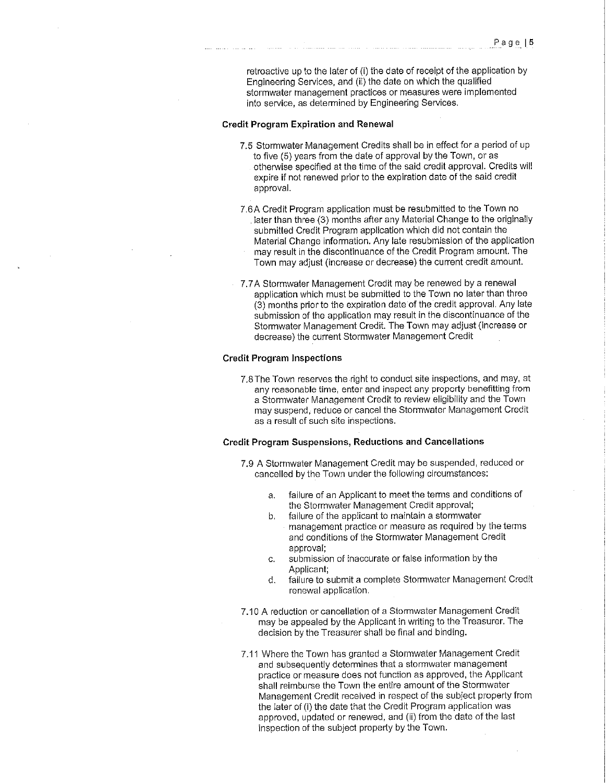retroactive up to the later of (i) the date of receipt of the application by Engineering Services, and (ii) the date on which the qualified stormwater management practices or measures were implemented into service, as determined by Engineering Services.

#### **Credit Program Expiration and Renewal**

- 7.5 Stormwater Management Credits shall be in effect for a period of up to five (5) years from the date of approval by the Town, or as otherwise specified at the time of the said credit approval. Credits will expire if not renewed prior to the expiration date of the said credit approval.
- 7.6A Credit Program application must be resubmitted to the Town no later than three (3) months after any Material Change to the originally submitted Credit Program application which did not contain the Material Change information. Any late resubmission of the application may result in the discontinuance of the Credit Program amount. The
	- Town may adjust (increase or decrease) the current credit amount.
- 7. 7 A Stormwater Management Credit may be renewed by a renewal application which must be submitted to the Town no later than three (3) months prior to the expiration date of the credit approval. Any late submission of the application may result in the discontinuance of the Stormwater Management Credit. The Town may adjust (increase or decrease) the current Stormwater Management Credit

#### **Credit Program Inspections**

7.8 The Town reserves the right to conduct site inspections, and may, at **any reasonable time, enter and inspect any property benefitting from**  a Stormwater Management Credit to review eligibility and the Town may suspend, reduce or cancel the Stormwater Management Credit as a result of such site inspections.

#### **Credit Program Suspensions, Reductions and Cancellations**

- 7.9 A Stormwater Management Credit may be suspended, reduced or cancelled by the Town under the following circumstances:
	- a. failure of an Applicant to meet the terms and conditions of the Stormwater Management Credit approval;
	- b. failure of the applicant to maintain a stormwater management practice or measure as required by the terms and conditions of the Stormwater Management Credit approval;
	- c. submission of inaccurate or false information by the Applicant;
	- d. failure to submit a complete Stormwater Management Credit renewal application.
- 7.10 A reduction or cancellation of a Stormwater Management Credit may be appealed by the Applicant in writing to the Treasurer. The decision by the Treasurer shall be final and binding.
- 7.11 Where the Town has granted a Stormwater Management Credit and subsequently determines that a stormwater management practice or measure does not function as approved, the Applicant shall reimburse the Town the entire amount of the Stormwater Management Credit received in respect of the subject property from the later of (i) the date that the Credit Program application was approved, updated or renewed, and (ii) from the date of the last inspection of the subject property by the Town.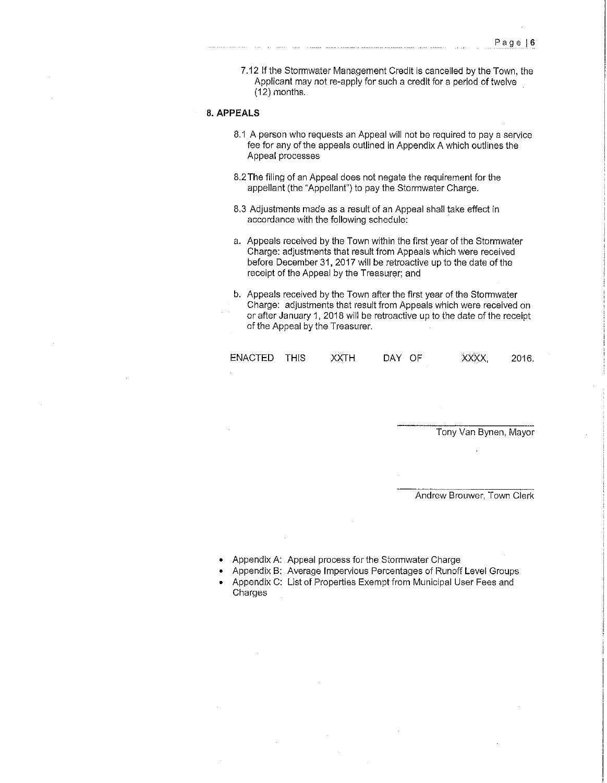7.12 If the Stormwater Management Credit is cancelled by the Town, the Applicant may not re-apply for such a credit for a period of twelve (12) months.

#### 8. **APPEALS**

- 8.1 A person who requests an Appeal will not be required to pay a service fee for any of the appeals outlined in Appendix A which outlines the Appeal processes
- 8.2The filing of an Appeal does not negate the requirement for the appellant (the "Appellant") to pay the Stormwater Charge.
- 8.3 Adjustments made as a result of an Appeal shall take effect in accordance with the following schedule:
- a. Appeals received by the Town within the first year of the Stormwater Charge: adjustments that result from Appeals which were received before December 31, 2017 will be retroactive up to the date of the receipt of the Appeal by the Treasurer; and
- b. Appeals received by the Town after the first year of the Stormwater Charge: adjustments that result from Appeals which were received on or after January 1, 2018 will be retroactive up to the date of the receipt of the Appeal by the Treasurer.

| ENACTED THIS |  | ХХТН | DAY OF | XXXX, | 2016. |
|--------------|--|------|--------|-------|-------|
|--------------|--|------|--------|-------|-------|

Tony Van Bynen, Mayor

Andrew Brouwer, Town Clerk

- Appendix A: Appeal process for the Stormwater Charge
- Appendix B: Average Impervious Percentages of Runoff Level Groups
- Appendix C: List of Properties Exempt from Municipal User Fees and Charges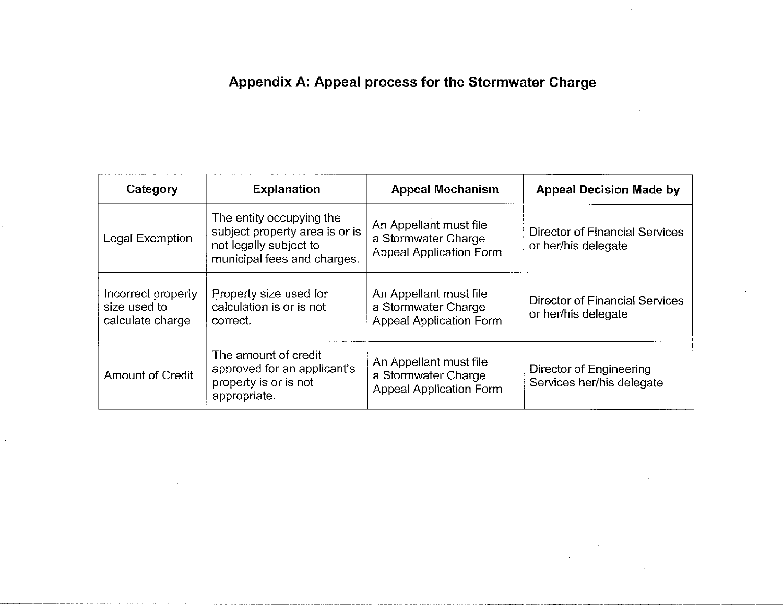# **Appendix A: Appeal process for the Stormwater Charge**

| Category                                               | <b>Explanation</b>                                                                                                  | <b>Appeal Mechanism</b>                                                         | <b>Appeal Decision Made by</b>                        |
|--------------------------------------------------------|---------------------------------------------------------------------------------------------------------------------|---------------------------------------------------------------------------------|-------------------------------------------------------|
| Legal Exemption                                        | The entity occupying the<br>subject property area is or is<br>not legally subject to<br>municipal fees and charges. | An Appellant must file<br>a Stormwater Charge<br><b>Appeal Application Form</b> | Director of Financial Services<br>or her/his delegate |
| Incorrect property<br>size used to<br>calculate charge | Property size used for<br>calculation is or is not<br>correct.                                                      | An Appellant must file<br>a Stormwater Charge<br><b>Appeal Application Form</b> | Director of Financial Services<br>or her/his delegate |
| <b>Amount of Credit</b>                                | The amount of credit<br>approved for an applicant's<br>property is or is not<br>appropriate.                        | An Appellant must file<br>a Stormwater Charge<br><b>Appeal Application Form</b> | Director of Engineering<br>Services her/his delegate  |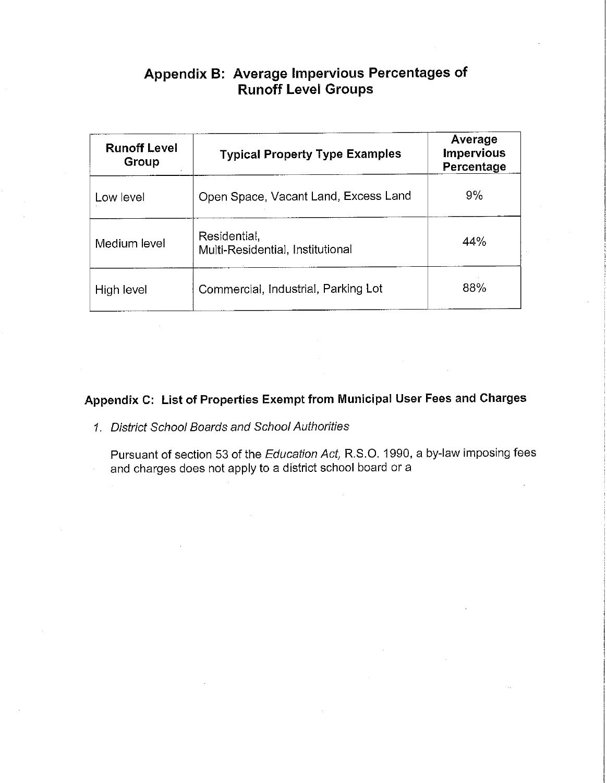# **Appendix B: Average Impervious Percentages of Runoff Level Groups**

| <b>Runoff Level</b><br>Group | <b>Typical Property Type Examples</b>            | Average<br><b>Impervious</b><br>Percentage |
|------------------------------|--------------------------------------------------|--------------------------------------------|
| Low level                    | Open Space, Vacant Land, Excess Land             | 9%                                         |
| Medium level                 | Residential,<br>Multi-Residential, Institutional | 44%                                        |
| High level                   | Commercial, Industrial, Parking Lot              | 88%                                        |

# **Appendix C: List of Properties Exempt from Municipal User Fees and Charges**

- 1. District School Boards and School Authorities
	- Pursuant of section 53 of the Education Act, R.S.O. 1990, a by-law imposing fees and charges does not apply to a district school board or a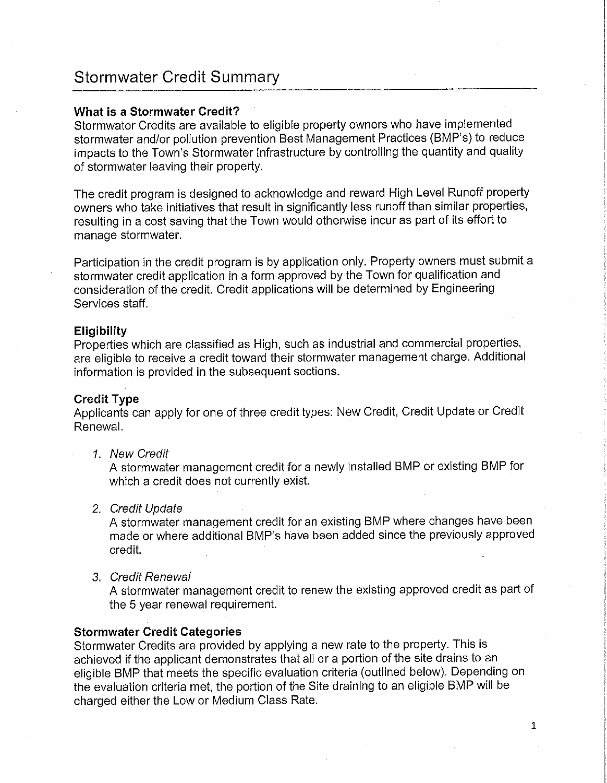# **Stormwater Credit Summary**

#### **What is a Stormwater Credit?**

Stormwater Credits are available to eligible property owners who have implemented stormwater and/or pollution prevention Best Management Practices (BMP's) to reduce impacts to the Town's Stormwater Infrastructure by controlling the quantity and quality of stormwater leaving their property.

The credit program is designed to acknowledge and reward High Level Runoff property owners who take initiatives that result in significantly less runoff than similar properties, resulting in a cost saving that the Town would otherwise incur as part of its effort to manage stormwater.

Participation in the credit program is by application only. Property owners must submit a stormwater credit application in a form approved by the Town for qualification and consideration of the credit. Credit applications will be determined by Engineering Services staff.

#### **Eligibility**

Properties which are classified as High, such as industrial and commercial properties, are eligible to receive a credit toward their stormwater management charge. Additional information is provided in the subsequent sections.

#### **Credit Type**

Applicants can apply for one of three credit types: New Credit, Credit Update or Credit Renewal.

1 New Credit

A stormwater management credit for a newly installed BMP or existing BMP for which a credit does not currently exist.

2. Credit Update

A stormwater management credit for an existing BMP where changes have been made or where additional BMP's have been added since the previously approved credit.

3. Credit Renewal

A stormwater management credit to renew the existing approved credit as part of the 5 year renewal requirement.

#### **Stormwater Credit Categories**

Stormwater Credits are provided by applying a new rate to the property. This is achieved if the applicant demonstrates that all or a portion of the site drains to an eligible BMP that meets the specific evaluation criteria (outlined below). Depending on the evaluation criteria met, the portion of the Site draining to an eligible BMP will be charged either the Low or Medium Class Rate.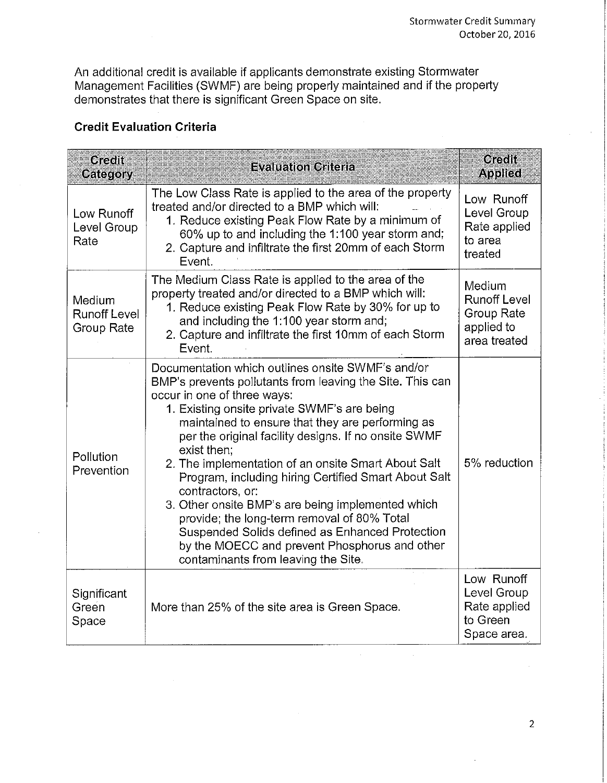An additional credit is available if applicants demonstrate existing Stormwater Management Facilities (SWMF) are being properly maintained and if the property demonstrates that there is significant Green Space on site.

## **Credit Evaluation Criteria**

| Gredf<br>Category                           | <b>Evaluation Criteria</b>                                                                                                                                                                                                                                                                                                                                                                                                                                                                                                                                                                                                                                                                                | <b>Credit</b><br><b>Applied</b>                                           |
|---------------------------------------------|-----------------------------------------------------------------------------------------------------------------------------------------------------------------------------------------------------------------------------------------------------------------------------------------------------------------------------------------------------------------------------------------------------------------------------------------------------------------------------------------------------------------------------------------------------------------------------------------------------------------------------------------------------------------------------------------------------------|---------------------------------------------------------------------------|
| Low Runoff<br>Level Group<br>Rate           | The Low Class Rate is applied to the area of the property<br>treated and/or directed to a BMP which will:<br>1. Reduce existing Peak Flow Rate by a minimum of<br>60% up to and including the 1:100 year storm and;<br>2. Capture and infiltrate the first 20mm of each Storm<br>Event.                                                                                                                                                                                                                                                                                                                                                                                                                   | Low Runoff<br>Level Group<br>Rate applied<br>to area<br>treated           |
| Medium<br><b>Runoff Level</b><br>Group Rate | The Medium Class Rate is applied to the area of the<br>property treated and/or directed to a BMP which will:<br>1. Reduce existing Peak Flow Rate by 30% for up to<br>and including the 1:100 year storm and;<br>2. Capture and infiltrate the first 10mm of each Storm<br>Event.                                                                                                                                                                                                                                                                                                                                                                                                                         | Medium<br><b>Runoff Level</b><br>Group Rate<br>applied to<br>area treated |
| Pollution<br>Prevention                     | Documentation which outlines onsite SWMF's and/or<br>BMP's prevents pollutants from leaving the Site. This can<br>occur in one of three ways:<br>1. Existing onsite private SWMF's are being<br>maintained to ensure that they are performing as<br>per the original facility designs. If no onsite SWMF<br>exist then:<br>2. The implementation of an onsite Smart About Salt<br>Program, including hiring Certified Smart About Salt<br>contractors, or:<br>3. Other onsite BMP's are being implemented which<br>provide; the long-term removal of 80% Total<br>Suspended Solids defined as Enhanced Protection<br>by the MOECC and prevent Phosphorus and other<br>contaminants from leaving the Site. | 5% reduction                                                              |
| Significant<br>Green<br>Space               | More than 25% of the site area is Green Space.                                                                                                                                                                                                                                                                                                                                                                                                                                                                                                                                                                                                                                                            | Low Runoff<br>Level Group<br>Rate applied<br>to Green<br>Space area.      |

 $\mathcal{A}^{\pm}$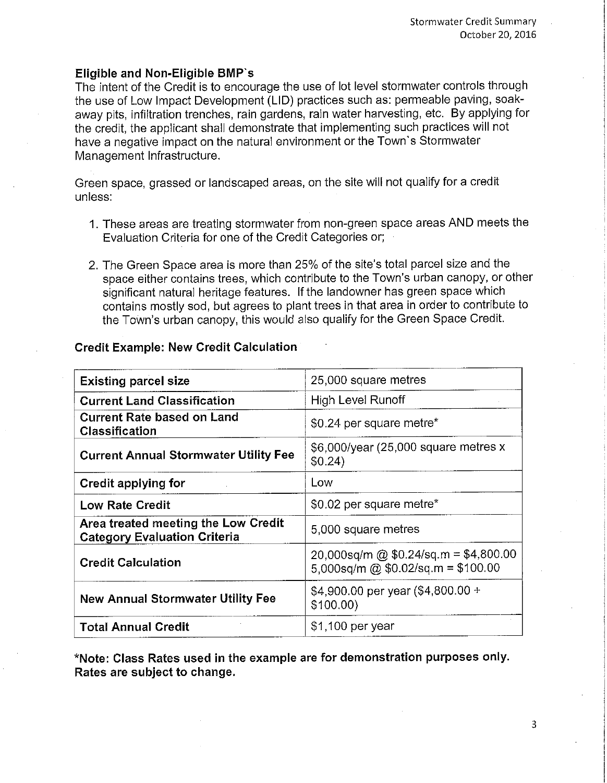#### **Eligible and Non-Eligible BMP's**

The intent of the Credit is to encourage the use of lot level stormwater controls through the use of Low Impact Development (LID) practices such as: permeable paving, soakaway pits, infiltration trenches, rain gardens, rain water harvesting, etc. By applying for the credit, the applicant shall demonstrate that implementing such practices will not have a negative impact on the natural environment or the Town's Stormwater Management Infrastructure.

Green space, grassed or landscaped areas, on the site will not qualify for a credit unless:

- 1. These areas are treating stormwater from non-green space areas AND meets the Evaluation Criteria for one of the Credit Categories or;
- 2. The Green Space area is more than 25% of the site's total parcel size and the space either contains trees, which contribute to the Town's urban canopy, or other significant natural heritage features. If the landowner has green space which contains mostly sod, but agrees to plant trees in that area in order to contribute to the Town's urban canopy, this would also qualify for the Green Space Credit.

#### **Credit Example: New Credit Calculation**

| <b>Existing parcel size</b>                                                | 25,000 square metres                                                        |
|----------------------------------------------------------------------------|-----------------------------------------------------------------------------|
| <b>Current Land Classification</b>                                         | High Level Runoff                                                           |
| <b>Current Rate based on Land</b><br>Classification                        | \$0.24 per square metre*                                                    |
| <b>Current Annual Stormwater Utility Fee</b>                               | \$6,000/year (25,000 square metres x<br>\$0.24)                             |
| Credit applying for                                                        | Low                                                                         |
| <b>Low Rate Credit</b>                                                     | \$0.02 per square metre*                                                    |
| Area treated meeting the Low Credit<br><b>Category Evaluation Criteria</b> | 5,000 square metres                                                         |
| <b>Credit Calculation</b>                                                  | 20,000sq/m @ \$0.24/sq.m = \$4,800.00<br>5,000sq/m @ \$0.02/sq.m = \$100.00 |
| <b>New Annual Stormwater Utility Fee</b>                                   | \$4,900.00 per year $(\$4,800.00 +$<br>\$100.00                             |
| <b>Total Annual Credit</b>                                                 | \$1,100 per year                                                            |

**\*Note: Class Rates used in the example are for demonstration purposes only. Rates are subject to change.** 

3